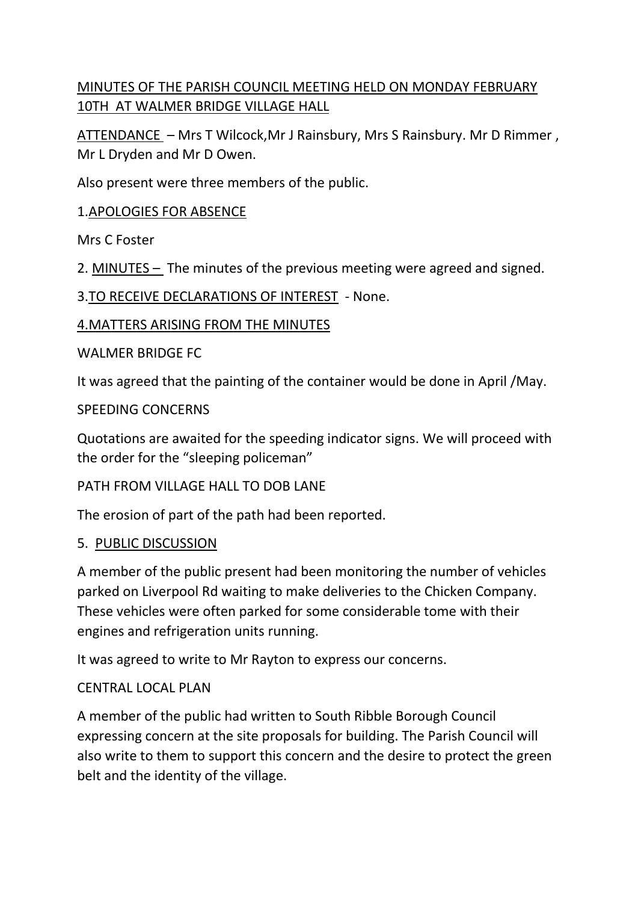# MINUTES OF THE PARISH COUNCIL MEETING HELD ON MONDAY FEBRUARY 10TH AT WALMER BRIDGE VILLAGE HALL

ATTENDANCE – Mrs T Wilcock,Mr J Rainsbury, Mrs S Rainsbury. Mr D Rimmer , Mr L Dryden and Mr D Owen.

Also present were three members of the public.

### 1.APOLOGIES FOR ABSENCE

Mrs C Foster

2. MINUTES – The minutes of the previous meeting were agreed and signed.

3.TO RECEIVE DECLARATIONS OF INTEREST - None.

### 4.MATTERS ARISING FROM THE MINUTES

WAI MER BRIDGE FC.

It was agreed that the painting of the container would be done in April /May.

### SPEEDING CONCERNS

Quotations are awaited for the speeding indicator signs. We will proceed with the order for the "sleeping policeman"

### PATH FROM VILLAGE HALL TO DOB LANE

The erosion of part of the path had been reported.

### 5. PUBLIC DISCUSSION

A member of the public present had been monitoring the number of vehicles parked on Liverpool Rd waiting to make deliveries to the Chicken Company. These vehicles were often parked for some considerable tome with their engines and refrigeration units running.

It was agreed to write to Mr Rayton to express our concerns.

### CENTRAL LOCAL PLAN

A member of the public had written to South Ribble Borough Council expressing concern at the site proposals for building. The Parish Council will also write to them to support this concern and the desire to protect the green belt and the identity of the village.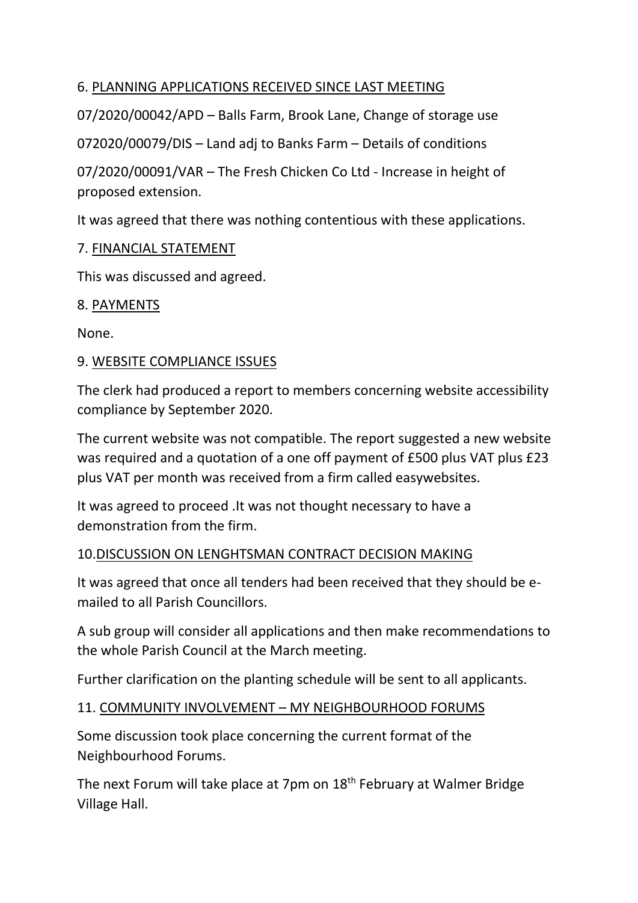## 6. PLANNING APPLICATIONS RECEIVED SINCE LAST MEETING

07/2020/00042/APD – Balls Farm, Brook Lane, Change of storage use

072020/00079/DIS – Land adj to Banks Farm – Details of conditions

07/2020/00091/VAR – The Fresh Chicken Co Ltd - Increase in height of proposed extension.

It was agreed that there was nothing contentious with these applications.

## 7. FINANCIAL STATEMENT

This was discussed and agreed.

## 8. PAYMENTS

None.

## 9. WEBSITE COMPLIANCE ISSUES

The clerk had produced a report to members concerning website accessibility compliance by September 2020.

The current website was not compatible. The report suggested a new website was required and a quotation of a one off payment of £500 plus VAT plus £23 plus VAT per month was received from a firm called easywebsites.

It was agreed to proceed .It was not thought necessary to have a demonstration from the firm.

## 10.DISCUSSION ON LENGHTSMAN CONTRACT DECISION MAKING

It was agreed that once all tenders had been received that they should be emailed to all Parish Councillors.

A sub group will consider all applications and then make recommendations to the whole Parish Council at the March meeting.

Further clarification on the planting schedule will be sent to all applicants.

## 11. COMMUNITY INVOLVEMENT – MY NEIGHBOURHOOD FORUMS

Some discussion took place concerning the current format of the Neighbourhood Forums.

The next Forum will take place at 7pm on 18<sup>th</sup> February at Walmer Bridge Village Hall.